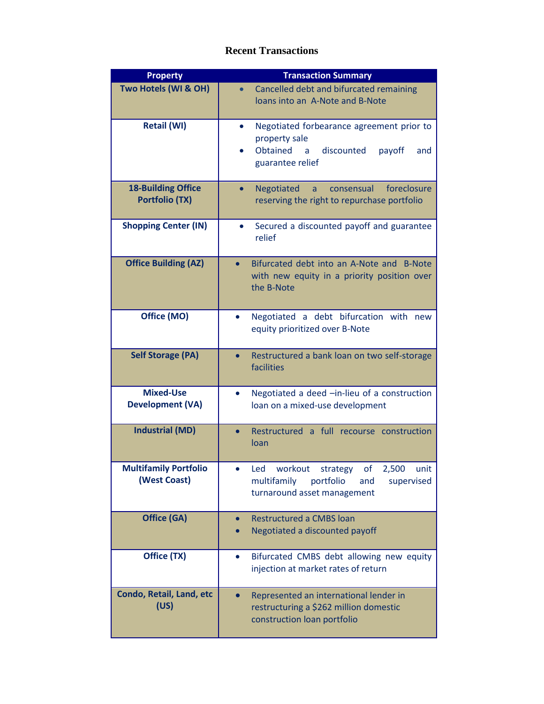## **Recent Transactions**

| <b>Property</b>                                    | <b>Transaction Summary</b>                                                                                                     |
|----------------------------------------------------|--------------------------------------------------------------------------------------------------------------------------------|
| Two Hotels (WI & OH)                               | Cancelled debt and bifurcated remaining<br>loans into an A-Note and B-Note                                                     |
| <b>Retail (WI)</b>                                 | Negotiated forbearance agreement prior to<br>property sale<br>Obtained<br>discounted<br>payoff<br>a<br>and<br>guarantee relief |
| <b>18-Building Office</b><br><b>Portfolio (TX)</b> | foreclosure<br>Negotiated<br>consensual<br>a<br>$\bullet$<br>reserving the right to repurchase portfolio                       |
| <b>Shopping Center (IN)</b>                        | Secured a discounted payoff and guarantee<br>$\bullet$<br>relief                                                               |
| <b>Office Building (AZ)</b>                        | Bifurcated debt into an A-Note and B-Note<br>$\bullet$<br>with new equity in a priority position over<br>the B-Note            |
| Office (MO)                                        | Negotiated a debt bifurcation with new<br>$\bullet$<br>equity prioritized over B-Note                                          |
| <b>Self Storage (PA)</b>                           | Restructured a bank loan on two self-storage<br>facilities                                                                     |
| <b>Mixed-Use</b><br><b>Development (VA)</b>        | Negotiated a deed -in-lieu of a construction<br>loan on a mixed-use development                                                |
| <b>Industrial (MD)</b>                             | Restructured a full recourse construction<br>loan                                                                              |
| <b>Multifamily Portfolio</b><br>(West Coast)       | of<br>Led workout<br>strategy<br>2,500<br>unit<br>multifamily<br>portfolio<br>supervised<br>and<br>turnaround asset management |
| <b>Office (GA)</b>                                 | <b>Restructured a CMBS loan</b><br>Negotiated a discounted payoff                                                              |
| Office (TX)                                        | Bifurcated CMBS debt allowing new equity<br>$\bullet$<br>injection at market rates of return                                   |
| Condo, Retail, Land, etc<br>(US)                   | Represented an international lender in<br>restructuring a \$262 million domestic<br>construction loan portfolio                |